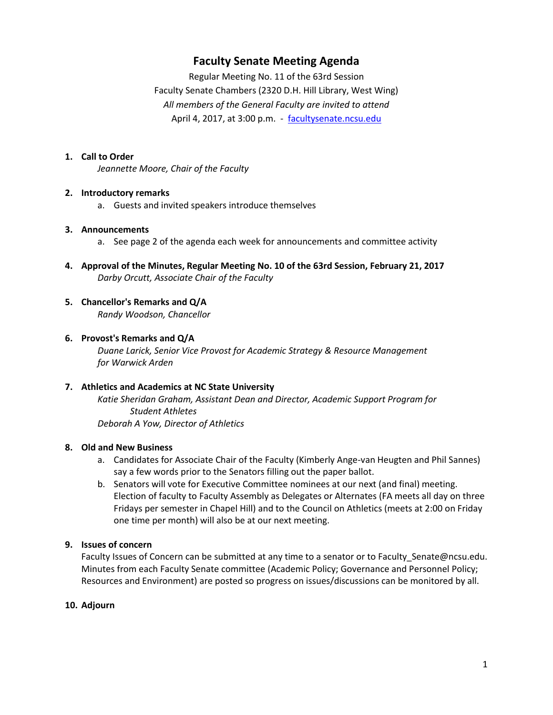# **Faculty Senate Meeting Agenda**

Regular Meeting No. 11 of the 63rd Session Faculty Senate Chambers (2320 D.H. Hill Library, West Wing) *All members of the General Faculty are invited to attend* April 4, 2017, at 3:00 p.m. - [facultysenate.ncsu.edu](https://facultysenate.ncsu.edu/)

# **1. Call to Order**

*Jeannette Moore, Chair of the Faculty*

#### **2. Introductory remarks**

a. Guests and invited speakers introduce themselves

### **3. Announcements**

- a. See page 2 of the agenda each week for announcements and committee activity
- **4. Approval of the Minutes, Regular Meeting No. 10 of the 63rd Session, February 21, 2017** *Darby Orcutt, Associate Chair of the Faculty*
- **5. Chancellor's Remarks and Q/A** *Randy Woodson, Chancellor*

### **6. Provost's Remarks and Q/A**

*Duane Larick, Senior Vice Provost for Academic Strategy & Resource Management for Warwick Arden*

# **7. Athletics and Academics at NC State University**

*Katie Sheridan Graham, Assistant Dean and Director, Academic Support Program for Student Athletes Deborah A Yow, Director of Athletics*

#### **8. Old and New Business**

- a. Candidates for Associate Chair of the Faculty (Kimberly Ange-van Heugten and Phil Sannes) say a few words prior to the Senators filling out the paper ballot.
- b. Senators will vote for Executive Committee nominees at our next (and final) meeting. Election of faculty to Faculty Assembly as Delegates or Alternates (FA meets all day on three Fridays per semester in Chapel Hill) and to the Council on Athletics (meets at 2:00 on Friday one time per month) will also be at our next meeting.

# **9. Issues of concern**

Faculty Issues of Concern can be submitted at any time to a senator or to Faculty Senate@ncsu.edu. Minutes from each Faculty Senate committee (Academic Policy; Governance and Personnel Policy; Resources and Environment) are posted so progress on issues/discussions can be monitored by all.

# **10. Adjourn**